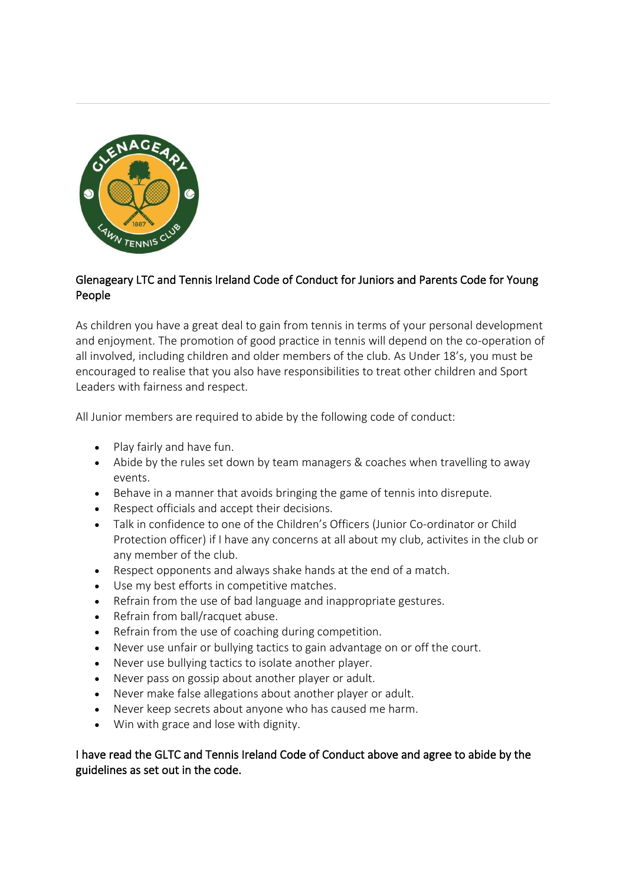

## Glenageary LTC and Tennis Ireland Code of Conduct for Juniors and Parents Code for Young People

As children you have a great deal to gain from tennis in terms of your personal development and enjoyment. The promotion of good practice in tennis will depend on the co-operation of all involved, including children and older members of the club. As Under 18's, you must be encouraged to realise that you also have responsibilities to treat other children and Sport Leaders with fairness and respect.

All Junior members are required to abide by the following code of conduct:

- Play fairly and have fun.
- Abide by the rules set down by team managers & coaches when travelling to away events.
- Behave in a manner that avoids bringing the game of tennis into disrepute.
- Respect officials and accept their decisions.
- Talk in confidence to one of the Children's Officers (Junior Co-ordinator or Child Protection officer) if I have any concerns at all about my club, activites in the club or any member of the club.
- Respect opponents and always shake hands at the end of a match.
- Use my best efforts in competitive matches.
- Refrain from the use of bad language and inappropriate gestures.
- Refrain from ball/racquet abuse.
- Refrain from the use of coaching during competition.
- Never use unfair or bullying tactics to gain advantage on or off the court.
- Never use bullying tactics to isolate another player.
- Never pass on gossip about another player or adult.
- Never make false allegations about another player or adult.
- Never keep secrets about anyone who has caused me harm.
- Win with grace and lose with dignity.

## I have read the GLTC and Tennis Ireland Code of Conduct above and agree to abide by the guidelines as set out in the code.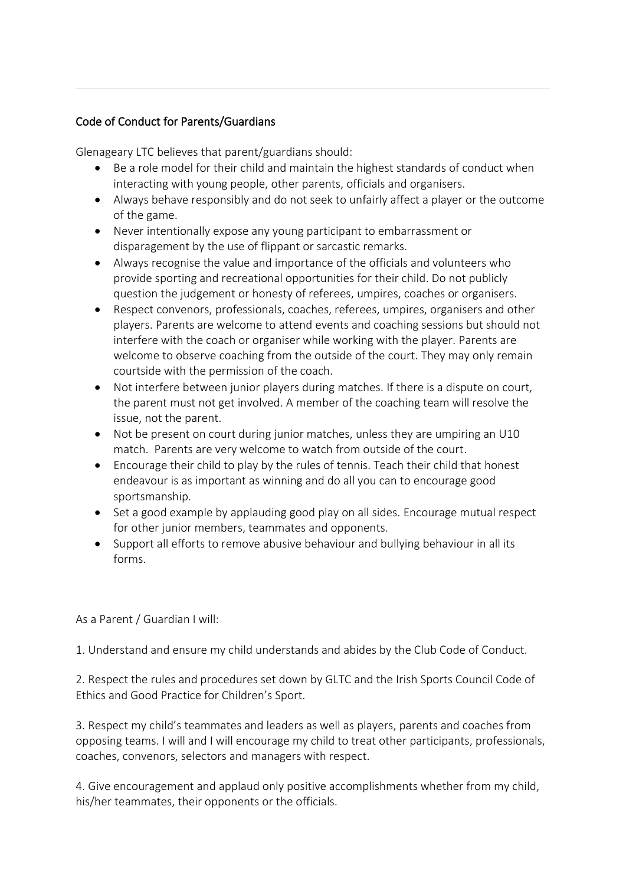## Code of Conduct for Parents/Guardians

Glenageary LTC believes that parent/guardians should:

- Be a role model for their child and maintain the highest standards of conduct when interacting with young people, other parents, officials and organisers.
- Always behave responsibly and do not seek to unfairly affect a player or the outcome of the game.
- Never intentionally expose any young participant to embarrassment or disparagement by the use of flippant or sarcastic remarks.
- Always recognise the value and importance of the officials and volunteers who provide sporting and recreational opportunities for their child. Do not publicly question the judgement or honesty of referees, umpires, coaches or organisers.
- Respect convenors, professionals, coaches, referees, umpires, organisers and other players. Parents are welcome to attend events and coaching sessions but should not interfere with the coach or organiser while working with the player. Parents are welcome to observe coaching from the outside of the court. They may only remain courtside with the permission of the coach.
- Not interfere between junior players during matches. If there is a dispute on court, the parent must not get involved. A member of the coaching team will resolve the issue, not the parent.
- Not be present on court during junior matches, unless they are umpiring an U10 match. Parents are very welcome to watch from outside of the court.
- Encourage their child to play by the rules of tennis. Teach their child that honest endeavour is as important as winning and do all you can to encourage good sportsmanship.
- Set a good example by applauding good play on all sides. Encourage mutual respect for other junior members, teammates and opponents.
- Support all efforts to remove abusive behaviour and bullying behaviour in all its forms.

## As a Parent / Guardian I will:

1. Understand and ensure my child understands and abides by the Club Code of Conduct.

2. Respect the rules and procedures set down by GLTC and the Irish Sports Council Code of Ethics and Good Practice for Children's Sport.

3. Respect my child's teammates and leaders as well as players, parents and coaches from opposing teams. I will and I will encourage my child to treat other participants, professionals, coaches, convenors, selectors and managers with respect.

4. Give encouragement and applaud only positive accomplishments whether from my child, his/her teammates, their opponents or the officials.